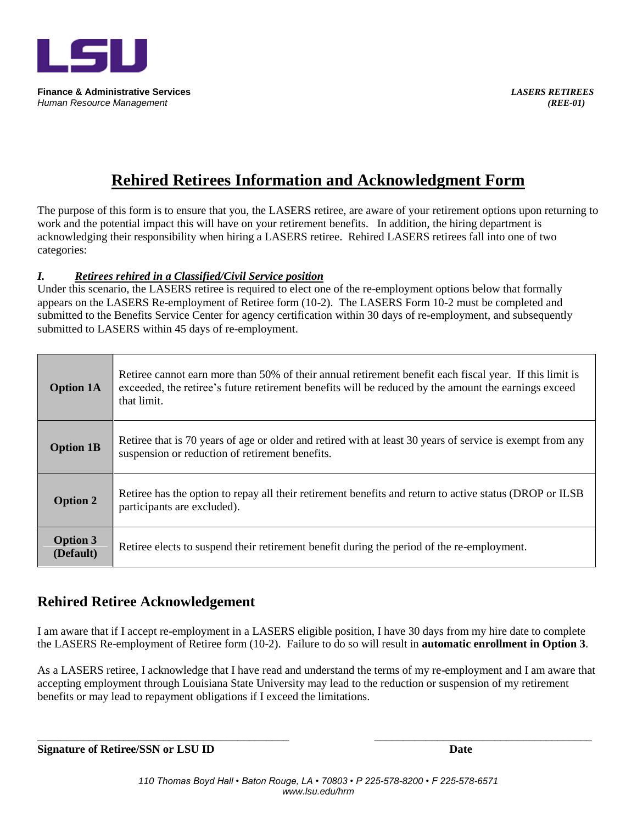

**Finance & Administrative Services** *LASERS RETIREES Human Resource Management (REE-01)* 

# **Rehired Retirees Information and Acknowledgment Form**

The purpose of this form is to ensure that you, the LASERS retiree, are aware of your retirement options upon returning to work and the potential impact this will have on your retirement benefits. In addition, the hiring department is acknowledging their responsibility when hiring a LASERS retiree. Rehired LASERS retirees fall into one of two categories:

## *I. Retirees rehired in a Classified/Civil Service position*

Under this scenario, the LASERS retiree is required to elect one of the re-employment options below that formally appears on the LASERS Re-employment of Retiree form (10-2). The LASERS Form 10-2 must be completed and submitted to the Benefits Service Center for agency certification within 30 days of re-employment, and subsequently submitted to LASERS within 45 days of re-employment.

| <b>Option 1A</b>             | Retiree cannot earn more than 50% of their annual retirement benefit each fiscal year. If this limit is<br>exceeded, the retiree's future retirement benefits will be reduced by the amount the earnings exceed<br>that limit. |
|------------------------------|--------------------------------------------------------------------------------------------------------------------------------------------------------------------------------------------------------------------------------|
| <b>Option 1B</b>             | Retiree that is 70 years of age or older and retired with at least 30 years of service is exempt from any<br>suspension or reduction of retirement benefits.                                                                   |
| <b>Option 2</b>              | Retiree has the option to repay all their retirement benefits and return to active status (DROP or ILSB)<br>participants are excluded).                                                                                        |
| <b>Option 3</b><br>(Default) | Retiree elects to suspend their retirement benefit during the period of the re-employment.                                                                                                                                     |

## **Rehired Retiree Acknowledgement**

I am aware that if I accept re-employment in a LASERS eligible position, I have 30 days from my hire date to complete the LASERS Re-employment of Retiree form (10-2). Failure to do so will result in **automatic enrollment in Option 3**.

As a LASERS retiree, I acknowledge that I have read and understand the terms of my re-employment and I am aware that accepting employment through Louisiana State University may lead to the reduction or suspension of my retirement benefits or may lead to repayment obligations if I exceed the limitations.

**Signature of Retiree/SSN or LSU ID Date**

\_\_\_\_\_\_\_\_\_\_\_\_\_\_\_\_\_\_\_\_\_\_\_\_\_\_\_\_\_\_\_\_\_\_\_\_\_\_\_\_\_\_\_\_ \_\_\_\_\_\_\_\_\_\_\_\_\_\_\_\_\_\_\_\_\_\_\_\_\_\_\_\_\_\_\_\_\_\_\_\_\_\_